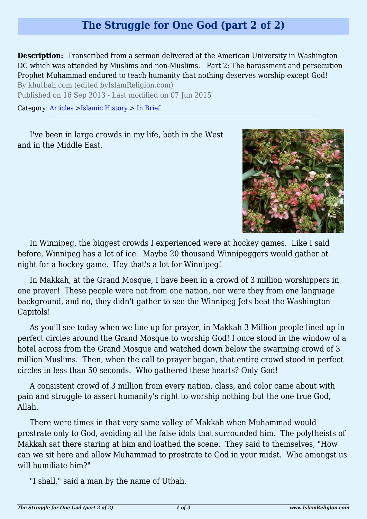## **The Struggle for One God (part 2 of 2)**

**Description:** Transcribed from a sermon delivered at the American University in Washington DC which was attended by Muslims and non-Muslims. Part 2: The harassment and persecution Prophet Muhammad endured to teach humanity that nothing deserves worship except God!

By khutbah.com (edited byIslamReligion.com)

Published on 16 Sep 2013 - Last modified on 07 Jun 2015

Category: [Articles](http://www.islamreligion.com/articles/) >[Islamic History](http://www.islamreligion.com/category/87/) > [In Brief](http://www.islamreligion.com/category/88/)

I've been in large crowds in my life, both in the West and in the Middle East.



In Winnipeg, the biggest crowds I experienced were at hockey games. Like I said before, Winnipeg has a lot of ice. Maybe 20 thousand Winnipeggers would gather at night for a hockey game. Hey that's a lot for Winnipeg!

In Makkah, at the Grand Mosque, I have been in a crowd of 3 million worshippers in one prayer! These people were not from one nation, nor were they from one language background, and no, they didn't gather to see the Winnipeg Jets beat the Washington Capitols!

As you'll see today when we line up for prayer, in Makkah 3 Million people lined up in perfect circles around the Grand Mosque to worship God! I once stood in the window of a hotel across from the Grand Mosque and watched down below the swarming crowd of 3 million Muslims. Then, when the call to prayer began, that entire crowd stood in perfect circles in less than 50 seconds. Who gathered these hearts? Only God!

A consistent crowd of 3 million from every nation, class, and color came about with pain and struggle to assert humanity's right to worship nothing but the one true God, Allah.

There were times in that very same valley of Makkah when Muhammad would prostrate only to God, avoiding all the false idols that surrounded him. The polytheists of Makkah sat there staring at him and loathed the scene. They said to themselves, "How can we sit here and allow Muhammad to prostrate to God in your midst. Who amongst us will humiliate him?"

"I shall," said a man by the name of Utbah.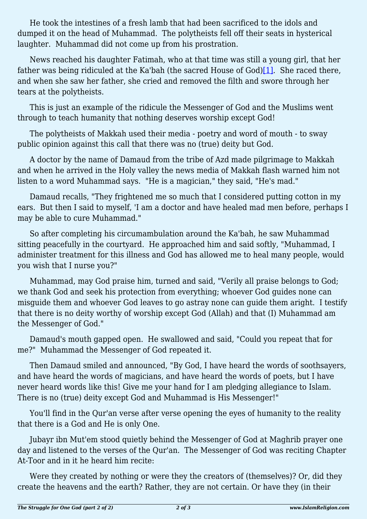He took the intestines of a fresh lamb that had been sacrificed to the idols and dumped it on the head of Muhammad. The polytheists fell off their seats in hysterical laughter. Muhammad did not come up from his prostration.

<span id="page-1-0"></span>News reached his daughter Fatimah, who at that time was still a young girl, that her father was being ridiculed at the Ka'bah (the sacred House of  $God)[1]$  $God)[1]$ . She raced there, and when she saw her father, she cried and removed the filth and swore through her tears at the polytheists.

This is just an example of the ridicule the Messenger of God and the Muslims went through to teach humanity that nothing deserves worship except God!

The polytheists of Makkah used their media - poetry and word of mouth - to sway public opinion against this call that there was no (true) deity but God.

A doctor by the name of Damaud from the tribe of Azd made pilgrimage to Makkah and when he arrived in the Holy valley the news media of Makkah flash warned him not listen to a word Muhammad says. "He is a magician," they said, "He's mad."

Damaud recalls, "They frightened me so much that I considered putting cotton in my ears. But then I said to myself, 'I am a doctor and have healed mad men before, perhaps I may be able to cure Muhammad."

So after completing his circumambulation around the Ka'bah, he saw Muhammad sitting peacefully in the courtyard. He approached him and said softly, "Muhammad, I administer treatment for this illness and God has allowed me to heal many people, would you wish that I nurse you?"

Muhammad, may God praise him, turned and said, "Verily all praise belongs to God; we thank God and seek his protection from everything; whoever God guides none can misguide them and whoever God leaves to go astray none can guide them aright. I testify that there is no deity worthy of worship except God (Allah) and that (I) Muhammad am the Messenger of God."

Damaud's mouth gapped open. He swallowed and said, "Could you repeat that for me?" Muhammad the Messenger of God repeated it.

Then Damaud smiled and announced, "By God, I have heard the words of soothsayers, and have heard the words of magicians, and have heard the words of poets, but I have never heard words like this! Give me your hand for I am pledging allegiance to Islam. There is no (true) deity except God and Muhammad is His Messenger!"

You'll find in the Qur'an verse after verse opening the eyes of humanity to the reality that there is a God and He is only One.

Jubayr ibn Mut'em stood quietly behind the Messenger of God at Maghrib prayer one day and listened to the verses of the Qur'an. The Messenger of God was reciting Chapter At-Toor and in it he heard him recite:

Were they created by nothing or were they the creators of (themselves)? Or, did they create the heavens and the earth? Rather, they are not certain. Or have they (in their